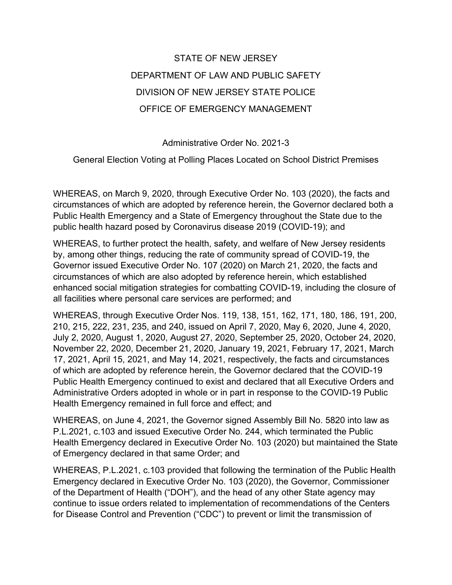## STATE OF NEW JERSEY DEPARTMENT OF LAW AND PUBLIC SAFETY DIVISION OF NEW JERSEY STATE POLICE OFFICE OF EMERGENCY MANAGEMENT

Administrative Order No. 2021-3

General Election Voting at Polling Places Located on School District Premises

WHEREAS, on March 9, 2020, through Executive Order No. 103 (2020), the facts and circumstances of which are adopted by reference herein, the Governor declared both a Public Health Emergency and a State of Emergency throughout the State due to the public health hazard posed by Coronavirus disease 2019 (COVID-19); and

WHEREAS, to further protect the health, safety, and welfare of New Jersey residents by, among other things, reducing the rate of community spread of COVID-19, the Governor issued Executive Order No. 107 (2020) on March 21, 2020, the facts and circumstances of which are also adopted by reference herein, which established enhanced social mitigation strategies for combatting COVID-19, including the closure of all facilities where personal care services are performed; and

WHEREAS, through Executive Order Nos. 119, 138, 151, 162, 171, 180, 186, 191, 200, 210, 215, 222, 231, 235, and 240, issued on April 7, 2020, May 6, 2020, June 4, 2020, July 2, 2020, August 1, 2020, August 27, 2020, September 25, 2020, October 24, 2020, November 22, 2020, December 21, 2020, January 19, 2021, February 17, 2021, March 17, 2021, April 15, 2021, and May 14, 2021, respectively, the facts and circumstances of which are adopted by reference herein, the Governor declared that the COVID-19 Public Health Emergency continued to exist and declared that all Executive Orders and Administrative Orders adopted in whole or in part in response to the COVID-19 Public Health Emergency remained in full force and effect; and

WHEREAS, on June 4, 2021, the Governor signed Assembly Bill No. 5820 into law as P.L.2021, c.103 and issued Executive Order No. 244, which terminated the Public Health Emergency declared in Executive Order No. 103 (2020) but maintained the State of Emergency declared in that same Order; and

WHEREAS, P.L.2021, c.103 provided that following the termination of the Public Health Emergency declared in Executive Order No. 103 (2020), the Governor, Commissioner of the Department of Health ("DOH"), and the head of any other State agency may continue to issue orders related to implementation of recommendations of the Centers for Disease Control and Prevention ("CDC") to prevent or limit the transmission of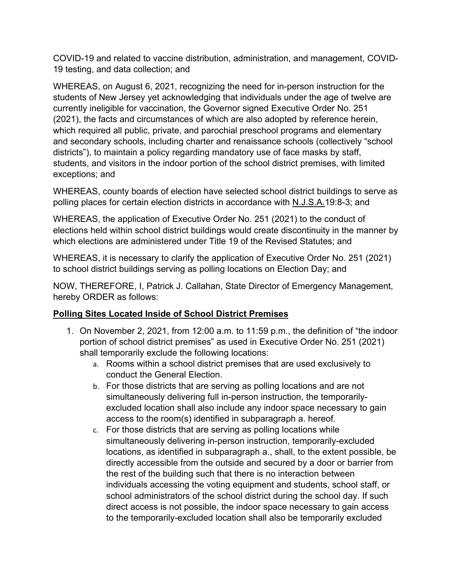COVID-19 and related to vaccine distribution, administration, and management, COVID-19 testing, and data collection; and

WHEREAS, on August 6, 2021, recognizing the need for in-person instruction for the students of New Jersey yet acknowledging that individuals under the age of twelve are currently ineligible for vaccination, the Governor signed Executive Order No. 251 (2021), the facts and circumstances of which are also adopted by reference herein, which required all public, private, and parochial preschool programs and elementary and secondary schools, including charter and renaissance schools (collectively "school districts"), to maintain a policy regarding mandatory use of face masks by staff, students, and visitors in the indoor portion of the school district premises, with limited exceptions; and

WHEREAS, county boards of election have selected school district buildings to serve as polling places for certain election districts in accordance with N.J.S.A.19:8-3; and

WHEREAS, the application of Executive Order No. 251 (2021) to the conduct of elections held within school district buildings would create discontinuity in the manner by which elections are administered under Title 19 of the Revised Statutes; and

WHEREAS, it is necessary to clarify the application of Executive Order No. 251 (2021) to school district buildings serving as polling locations on Election Day; and

NOW, THEREFORE, I, Patrick J. Callahan, State Director of Emergency Management, hereby ORDER as follows:

## **Polling Sites Located Inside of School District Premises**

- 1. On November 2, 2021, from 12:00 a.m. to 11:59 p.m., the definition of "the indoor portion of school district premises" as used in Executive Order No. 251 (2021) shall temporarily exclude the following locations:
	- a. Rooms within a school district premises that are used exclusively to conduct the General Election.
	- b. For those districts that are serving as polling locations and are not simultaneously delivering full in-person instruction, the temporarilyexcluded location shall also include any indoor space necessary to gain access to the room(s) identified in subparagraph a. hereof.
	- c. For those districts that are serving as polling locations while simultaneously delivering in-person instruction, temporarily-excluded locations, as identified in subparagraph a., shall, to the extent possible, be directly accessible from the outside and secured by a door or barrier from the rest of the building such that there is no interaction between individuals accessing the voting equipment and students, school staff, or school administrators of the school district during the school day. If such direct access is not possible, the indoor space necessary to gain access to the temporarily-excluded location shall also be temporarily excluded